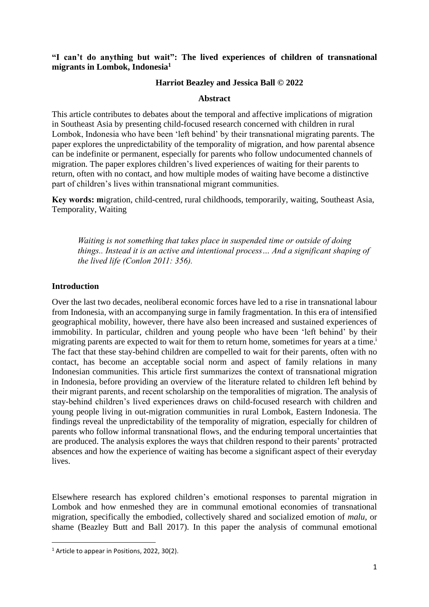# **"I can't do anything but wait": The lived experiences of children of transnational migrants in Lombok, Indonesia<sup>1</sup>**

# **Harriot Beazley and Jessica Ball © 2022**

## **Abstract**

This article contributes to debates about the temporal and affective implications of migration in Southeast Asia by presenting child-focused research concerned with children in rural Lombok, Indonesia who have been 'left behind' by their transnational migrating parents. The paper explores the unpredictability of the temporality of migration, and how parental absence can be indefinite or permanent, especially for parents who follow undocumented channels of migration. The paper explores children's lived experiences of waiting for their parents to return, often with no contact, and how multiple modes of waiting have become a distinctive part of children's lives within transnational migrant communities.

**Key words: m**igration, child-centred, rural childhoods, temporarily, waiting, Southeast Asia, Temporality, Waiting

*Waiting is not something that takes place in suspended time or outside of doing things.. Instead it is an active and intentional process… And a significant shaping of the lived life (Conlon 2011: 356).*

## **Introduction**

Over the last two decades, neoliberal economic forces have led to a rise in transnational labour from Indonesia, with an accompanying surge in family fragmentation. In this era of intensified geographical mobility, however, there have also been increased and sustained experiences of immobility. In particular, children and young people who have been 'left behind' by their migrating parents are expected to wait for them to return home, sometimes for years at a time.<sup>i</sup> The fact that these stay-behind children are compelled to wait for their parents, often with no contact, has become an acceptable social norm and aspect of family relations in many Indonesian communities. This article first summarizes the context of transnational migration in Indonesia, before providing an overview of the literature related to children left behind by their migrant parents, and recent scholarship on the temporalities of migration. The analysis of stay-behind children's lived experiences draws on child-focused research with children and young people living in out-migration communities in rural Lombok, Eastern Indonesia. The findings reveal the unpredictability of the temporality of migration, especially for children of parents who follow informal transnational flows, and the enduring temporal uncertainties that are produced. The analysis explores the ways that children respond to their parents' protracted absences and how the experience of waiting has become a significant aspect of their everyday lives.

Elsewhere research has explored children's emotional responses to parental migration in Lombok and how enmeshed they are in communal emotional economies of transnational migration, specifically the embodied, collectively shared and socialized emotion of *malu*, or shame (Beazley Butt and Ball 2017). In this paper the analysis of communal emotional

<sup>&</sup>lt;sup>1</sup> Article to appear in Positions, 2022, 30(2).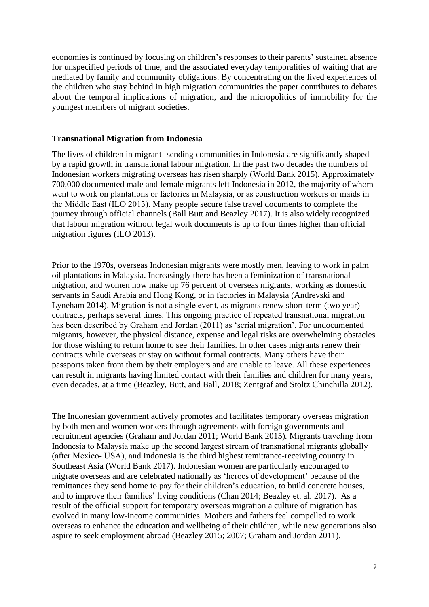economies is continued by focusing on children's responses to their parents' sustained absence for unspecified periods of time, and the associated everyday temporalities of waiting that are mediated by family and community obligations. By concentrating on the lived experiences of the children who stay behind in high migration communities the paper contributes to debates about the temporal implications of migration, and the micropolitics of immobility for the youngest members of migrant societies.

### **Transnational Migration from Indonesia**

The lives of children in migrant- sending communities in Indonesia are significantly shaped by a rapid growth in transnational labour migration. In the past two decades the numbers of Indonesian workers migrating overseas has risen sharply (World Bank 2015). Approximately 700,000 documented male and female migrants left Indonesia in 2012, the majority of whom went to work on plantations or factories in Malaysia, or as construction workers or maids in the Middle East (ILO 2013). Many people secure false travel documents to complete the journey through official channels (Ball Butt and Beazley 2017). It is also widely recognized that labour migration without legal work documents is up to four times higher than official migration figures (ILO 2013).

Prior to the 1970s, overseas Indonesian migrants were mostly men, leaving to work in palm oil plantations in Malaysia. Increasingly there has been a feminization of transnational migration, and women now make up 76 percent of overseas migrants, working as domestic servants in Saudi Arabia and Hong Kong, or in factories in Malaysia (Andrevski and Lyneham 2014). Migration is not a single event, as migrants renew short-term (two year) contracts, perhaps several times. This ongoing practice of repeated transnational migration has been described by Graham and Jordan (2011) as 'serial migration'. For undocumented migrants, however, the physical distance, expense and legal risks are overwhelming obstacles for those wishing to return home to see their families. In other cases migrants renew their contracts while overseas or stay on without formal contracts. Many others have their passports taken from them by their employers and are unable to leave. All these experiences can result in migrants having limited contact with their families and children for many years, even decades, at a time (Beazley, Butt, and Ball, 2018; Zentgraf and Stoltz Chinchilla 2012).

The Indonesian government actively promotes and facilitates temporary overseas migration by both men and women workers through agreements with foreign governments and recruitment agencies (Graham and Jordan 2011; World Bank 2015)*.* Migrants traveling from Indonesia to Malaysia make up the second largest stream of transnational migrants globally (after Mexico- USA), and Indonesia is the third highest remittance-receiving country in Southeast Asia (World Bank 2017). Indonesian women are particularly encouraged to migrate overseas and are celebrated nationally as 'heroes of development' because of the remittances they send home to pay for their children's education, to build concrete houses, and to improve their families' living conditions (Chan 2014; Beazley et. al. 2017). As a result of the official support for temporary overseas migration a culture of migration has evolved in many low-income communities. Mothers and fathers feel compelled to work overseas to enhance the education and wellbeing of their children, while new generations also aspire to seek employment abroad (Beazley 2015; 2007; Graham and Jordan 2011).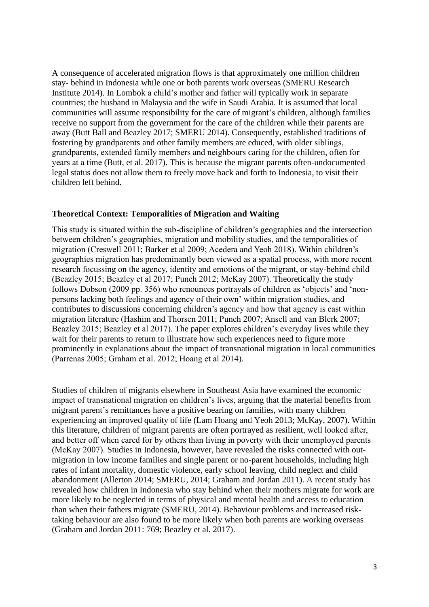A consequence of accelerated migration flows is that approximately one million children stay- behind in Indonesia while one or both parents work overseas (SMERU Research Institute 2014). In Lombok a child's mother and father will typically work in separate countries; the husband in Malaysia and the wife in Saudi Arabia. It is assumed that local communities will assume responsibility for the care of migrant's children, although families receive no support from the government for the care of the children while their parents are away (Butt Ball and Beazley 2017; SMERU 2014). Consequently, established traditions of fostering by grandparents and other family members are educed, with older siblings, grandparents, extended family members and neighbours caring for the children, often for years at a time (Butt, et al. 2017). This is because the migrant parents often-undocumented legal status does not allow them to freely move back and forth to Indonesia, to visit their children left behind.

### **Theoretical Context: Temporalities of Migration and Waiting**

This study is situated within the sub-discipline of children's geographies and the intersection between children's geographies, migration and mobility studies, and the temporalities of migration (Creswell 2011; Barker et al 2009; Acedera and Yeoh 2018). Within children's geographies migration has predominantly been viewed as a spatial process, with more recent research focussing on the agency, identity and emotions of the migrant, or stay-behind child (Beazley 2015; Beazley et al 2017; Punch 2012; McKay 2007). Theoretically the study follows Dobson (2009 pp. 356) who renounces portrayals of children as 'objects' and 'nonpersons lacking both feelings and agency of their own' within migration studies, and contributes to discussions concerning children's agency and how that agency is cast within migration literature (Hashim and Thorsen 2011; Punch 2007; Ansell and van Blerk 2007; Beazley 2015; Beazley et al 2017). The paper explores children's everyday lives while they wait for their parents to return to illustrate how such experiences need to figure more prominently in explanations about the impact of transnational migration in local communities (Parrenas 2005; Graham et al. 2012; Hoang et al 2014).

Studies of children of migrants elsewhere in Southeast Asia have examined the economic impact of transnational migration on children's lives, arguing that the material benefits from migrant parent's remittances have a positive bearing on families, with many children experiencing an improved quality of life (Lam Hoang and Yeoh 2013; McKay, 2007). Within this literature, children of migrant parents are often portrayed as resilient, well looked after, and better off when cared for by others than living in poverty with their unemployed parents (McKay 2007). Studies in Indonesia, however, have revealed the risks connected with outmigration in low income families and single parent or no-parent households, including high rates of infant mortality, domestic violence, early school leaving, child neglect and child abandonment (Allerton 2014; SMERU, 2014; Graham and Jordan 2011). A recent study has revealed how children in Indonesia who stay behind when their mothers migrate for work are more likely to be neglected in terms of physical and mental health and access to education than when their fathers migrate (SMERU, 2014). Behaviour problems and increased risktaking behaviour are also found to be more likely when both parents are working overseas (Graham and Jordan 2011: 769; Beazley et al. 2017).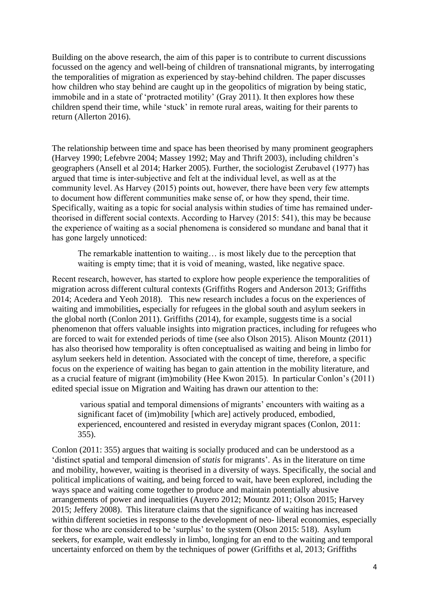Building on the above research, the aim of this paper is to contribute to current discussions focussed on the agency and well-being of children of transnational migrants, by interrogating the temporalities of migration as experienced by stay-behind children. The paper discusses how children who stay behind are caught up in the geopolitics of migration by being static, immobile and in a state of 'protracted motility' (Gray 2011). It then explores how these children spend their time, while 'stuck' in remote rural areas, waiting for their parents to return (Allerton 2016).

The relationship between time and space has been theorised by many prominent geographers (Harvey 1990; Lefebvre 2004; Massey 1992; May and Thrift 2003), including children's geographers (Ansell et al 2014; Harker 2005). Further, the sociologist Zerubavel (1977) has argued that time is inter-subjective and felt at the individual level, as well as at the community level. As Harvey (2015) points out, however, there have been very few attempts to document how different communities make sense of, or how they spend, their time. Specifically, waiting as a topic for social analysis within studies of time has remained undertheorised in different social contexts. According to Harvey (2015: 541), this may be because the experience of waiting as a social phenomena is considered so mundane and banal that it has gone largely unnoticed:

The remarkable inattention to waiting… is most likely due to the perception that waiting is empty time; that it is void of meaning, wasted, like negative space.

Recent research, however, has started to explore how people experience the temporalities of migration across different cultural contexts (Griffiths Rogers and Anderson 2013; Griffiths 2014; Acedera and Yeoh 2018). This new research includes a focus on the experiences of waiting and immobilities**,** especially for refugees in the global south and asylum seekers in the global north (Conlon 2011). Griffiths (2014), for example, suggests time is a social phenomenon that offers valuable insights into migration practices, including for refugees who are forced to wait for extended periods of time (see also Olson 2015). Alison Mountz (2011) has also theorised how temporality is often conceptualised as waiting and being in limbo for asylum seekers held in detention. Associated with the concept of time, therefore, a specific focus on the experience of waiting has began to gain attention in the mobility literature, and as a crucial feature of migrant (im)mobility (Hee Kwon 2015). In particular Conlon's (2011) edited special issue on Migration and Waiting has drawn our attention to the:

various spatial and temporal dimensions of migrants' encounters with waiting as a significant facet of (im)mobility [which are] actively produced, embodied, experienced, encountered and resisted in everyday migrant spaces (Conlon, 2011: 355).

Conlon (2011: 355) argues that waiting is socially produced and can be understood as a 'distinct spatial and temporal dimension of *statis* for migrants'. As in the literature on time and mobility, however, waiting is theorised in a diversity of ways. Specifically, the social and political implications of waiting, and being forced to wait, have been explored, including the ways space and waiting come together to produce and maintain potentially abusive arrangements of power and inequalities (Auyero 2012; Mountz 2011; Olson 2015; Harvey 2015; Jeffery 2008). This literature claims that the significance of waiting has increased within different societies in response to the development of neo- liberal economies, especially for those who are considered to be 'surplus' to the system (Olson 2015: 518). Asylum seekers, for example, wait endlessly in limbo, longing for an end to the waiting and temporal uncertainty enforced on them by the techniques of power (Griffiths et al, 2013; Griffiths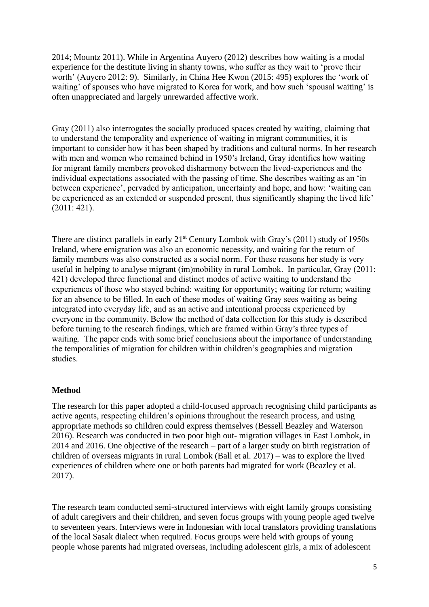2014; Mountz 2011). While in Argentina Auyero (2012) describes how waiting is a modal experience for the destitute living in shanty towns, who suffer as they wait to 'prove their worth' (Auyero 2012: 9). Similarly, in China Hee Kwon (2015: 495) explores the 'work of waiting' of spouses who have migrated to Korea for work, and how such 'spousal waiting' is often unappreciated and largely unrewarded affective work.

Gray (2011) also interrogates the socially produced spaces created by waiting, claiming that to understand the temporality and experience of waiting in migrant communities, it is important to consider how it has been shaped by traditions and cultural norms. In her research with men and women who remained behind in 1950's Ireland, Gray identifies how waiting for migrant family members provoked disharmony between the lived-experiences and the individual expectations associated with the passing of time. She describes waiting as an 'in between experience', pervaded by anticipation, uncertainty and hope, and how: 'waiting can be experienced as an extended or suspended present, thus significantly shaping the lived life' (2011: 421).

There are distinct parallels in early  $21<sup>st</sup>$  Century Lombok with Gray's (2011) study of 1950s Ireland, where emigration was also an economic necessity, and waiting for the return of family members was also constructed as a social norm. For these reasons her study is very useful in helping to analyse migrant (im)mobility in rural Lombok. In particular, Gray (2011: 421) developed three functional and distinct modes of active waiting to understand the experiences of those who stayed behind: waiting for opportunity; waiting for return; waiting for an absence to be filled. In each of these modes of waiting Gray sees waiting as being integrated into everyday life, and as an active and intentional process experienced by everyone in the community. Below the method of data collection for this study is described before turning to the research findings, which are framed within Gray's three types of waiting. The paper ends with some brief conclusions about the importance of understanding the temporalities of migration for children within children's geographies and migration studies.

#### **Method**

The research for this paper adopted a child-focused approach recognising child participants as active agents, respecting children's opinions throughout the research process, and using appropriate methods so children could express themselves (Bessell Beazley and Waterson 2016). Research was conducted in two poor high out- migration villages in East Lombok, in 2014 and 2016. One objective of the research – part of a larger study on birth registration of children of overseas migrants in rural Lombok (Ball et al. 2017) – was to explore the lived experiences of children where one or both parents had migrated for work (Beazley et al. 2017).

The research team conducted semi-structured interviews with eight family groups consisting of adult caregivers and their children, and seven focus groups with young people aged twelve to seventeen years. Interviews were in Indonesian with local translators providing translations of the local Sasak dialect when required. Focus groups were held with groups of young people whose parents had migrated overseas, including adolescent girls, a mix of adolescent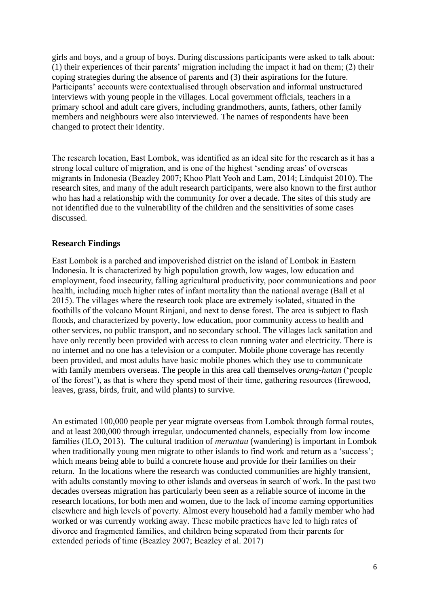girls and boys, and a group of boys. During discussions participants were asked to talk about: (1) their experiences of their parents' migration including the impact it had on them; (2) their coping strategies during the absence of parents and (3) their aspirations for the future. Participants' accounts were contextualised through observation and informal unstructured interviews with young people in the villages. Local government officials, teachers in a primary school and adult care givers, including grandmothers, aunts, fathers, other family members and neighbours were also interviewed. The names of respondents have been changed to protect their identity.

The research location, East Lombok, was identified as an ideal site for the research as it has a strong local culture of migration, and is one of the highest 'sending areas' of overseas migrants in Indonesia (Beazley 2007; Khoo Platt Yeoh and Lam, 2014; Lindquist 2010). The research sites, and many of the adult research participants, were also known to the first author who has had a relationship with the community for over a decade. The sites of this study are not identified due to the vulnerability of the children and the sensitivities of some cases discussed.

### **Research Findings**

East Lombok is a parched and impoverished district on the island of Lombok in Eastern Indonesia. It is characterized by high population growth, low wages, low education and employment, food insecurity, falling agricultural productivity, poor communications and poor health, including much higher rates of infant mortality than the national average (Ball et al 2015). The villages where the research took place are extremely isolated, situated in the foothills of the volcano Mount Rinjani, and next to dense forest. The area is subject to flash floods, and characterized by poverty, low education, poor community access to health and other services, no public transport, and no secondary school. The villages lack sanitation and have only recently been provided with access to clean running water and electricity. There is no internet and no one has a television or a computer. Mobile phone coverage has recently been provided, and most adults have basic mobile phones which they use to communicate with family members overseas. The people in this area call themselves *orang-hutan* ('people of the forest'), as that is where they spend most of their time, gathering resources (firewood, leaves, grass, birds, fruit, and wild plants) to survive.

An estimated 100,000 people per year migrate overseas from Lombok through formal routes, and at least 200,000 through irregular, undocumented channels, especially from low income families (ILO, 2013). The cultural tradition of *merantau* (wandering) is important in Lombok when traditionally young men migrate to other islands to find work and return as a 'success'; which means being able to build a concrete house and provide for their families on their return. In the locations where the research was conducted communities are highly transient, with adults constantly moving to other islands and overseas in search of work. In the past two decades overseas migration has particularly been seen as a reliable source of income in the research locations, for both men and women, due to the lack of income earning opportunities elsewhere and high levels of poverty. Almost every household had a family member who had worked or was currently working away. These mobile practices have led to high rates of divorce and fragmented families, and children being separated from their parents for extended periods of time (Beazley 2007; Beazley et al. 2017)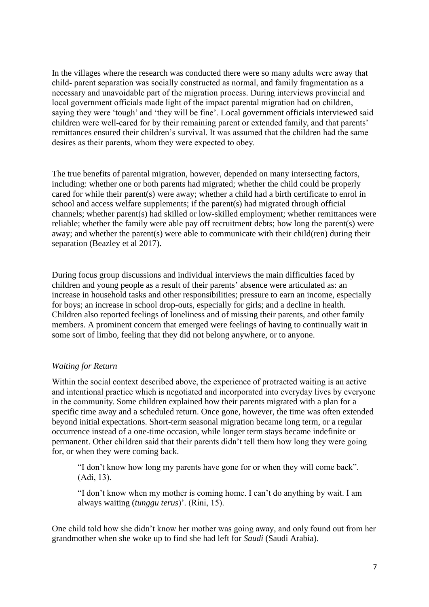In the villages where the research was conducted there were so many adults were away that child- parent separation was socially constructed as normal, and family fragmentation as a necessary and unavoidable part of the migration process. During interviews provincial and local government officials made light of the impact parental migration had on children, saying they were 'tough' and 'they will be fine'. Local government officials interviewed said children were well-cared for by their remaining parent or extended family, and that parents' remittances ensured their children's survival. It was assumed that the children had the same desires as their parents, whom they were expected to obey.

The true benefits of parental migration, however, depended on many intersecting factors, including: whether one or both parents had migrated; whether the child could be properly cared for while their parent(s) were away; whether a child had a birth certificate to enrol in school and access welfare supplements; if the parent(s) had migrated through official channels; whether parent(s) had skilled or low-skilled employment; whether remittances were reliable; whether the family were able pay off recruitment debts; how long the parent(s) were away; and whether the parent(s) were able to communicate with their child(ren) during their separation (Beazley et al 2017).

During focus group discussions and individual interviews the main difficulties faced by children and young people as a result of their parents' absence were articulated as: an increase in household tasks and other responsibilities; pressure to earn an income, especially for boys; an increase in school drop-outs, especially for girls; and a decline in health. Children also reported feelings of loneliness and of missing their parents, and other family members. A prominent concern that emerged were feelings of having to continually wait in some sort of limbo, feeling that they did not belong anywhere, or to anyone.

## *Waiting for Return*

Within the social context described above, the experience of protracted waiting is an active and intentional practice which is negotiated and incorporated into everyday lives by everyone in the community. Some children explained how their parents migrated with a plan for a specific time away and a scheduled return. Once gone, however, the time was often extended beyond initial expectations. Short-term seasonal migration became long term, or a regular occurrence instead of a one-time occasion, while longer term stays became indefinite or permanent. Other children said that their parents didn't tell them how long they were going for, or when they were coming back.

"I don't know how long my parents have gone for or when they will come back". (Adi, 13).

"I don't know when my mother is coming home. I can't do anything by wait. I am always waiting (*tunggu terus*)'. (Rini, 15).

One child told how she didn't know her mother was going away, and only found out from her grandmother when she woke up to find she had left for *Saudi* (Saudi Arabia).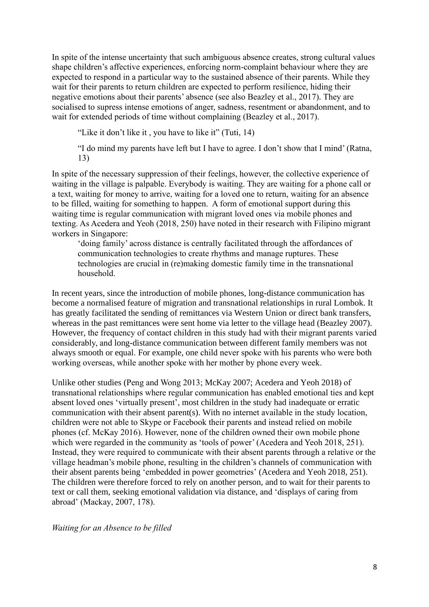In spite of the intense uncertainty that such ambiguous absence creates, strong cultural values shape children's affective experiences, enforcing norm-complaint behaviour where they are expected to respond in a particular way to the sustained absence of their parents. While they wait for their parents to return children are expected to perform resilience, hiding their negative emotions about their parents' absence (see also Beazley et al., 2017). They are socialised to supress intense emotions of anger, sadness, resentment or abandonment, and to wait for extended periods of time without complaining (Beazley et al., 2017).

"Like it don't like it , you have to like it" (Tuti, 14)

"I do mind my parents have left but I have to agree. I don't show that I mind' (Ratna, 13)

In spite of the necessary suppression of their feelings, however, the collective experience of waiting in the village is palpable. Everybody is waiting. They are waiting for a phone call or a text, waiting for money to arrive, waiting for a loved one to return, waiting for an absence to be filled, waiting for something to happen. A form of emotional support during this waiting time is regular communication with migrant loved ones via mobile phones and texting. As Acedera and Yeoh (2018, 250) have noted in their research with Filipino migrant workers in Singapore:

'doing family' across distance is centrally facilitated through the affordances of communication technologies to create rhythms and manage ruptures. These technologies are crucial in (re)making domestic family time in the transnational household.

In recent years, since the introduction of mobile phones, long-distance communication has become a normalised feature of migration and transnational relationships in rural Lombok. It has greatly facilitated the sending of remittances via Western Union or direct bank transfers, whereas in the past remittances were sent home via letter to the village head (Beazley 2007). However, the frequency of contact children in this study had with their migrant parents varied considerably, and long-distance communication between different family members was not always smooth or equal. For example, one child never spoke with his parents who were both working overseas, while another spoke with her mother by phone every week.

Unlike other studies (Peng and Wong 2013; McKay 2007; Acedera and Yeoh 2018) of transnational relationships where regular communication has enabled emotional ties and kept absent loved ones 'virtually present', most children in the study had inadequate or erratic communication with their absent parent(s). With no internet available in the study location, children were not able to Skype or Facebook their parents and instead relied on mobile phones (cf. McKay 2016). However, none of the children owned their own mobile phone which were regarded in the community as 'tools of power' (Acedera and Yeoh 2018, 251). Instead, they were required to communicate with their absent parents through a relative or the village headman's mobile phone, resulting in the children's channels of communication with their absent parents being 'embedded in power geometries' (Acedera and Yeoh 2018, 251). The children were therefore forced to rely on another person, and to wait for their parents to text or call them, seeking emotional validation via distance, and 'displays of caring from abroad' (Mackay, 2007, 178).

*Waiting for an Absence to be filled*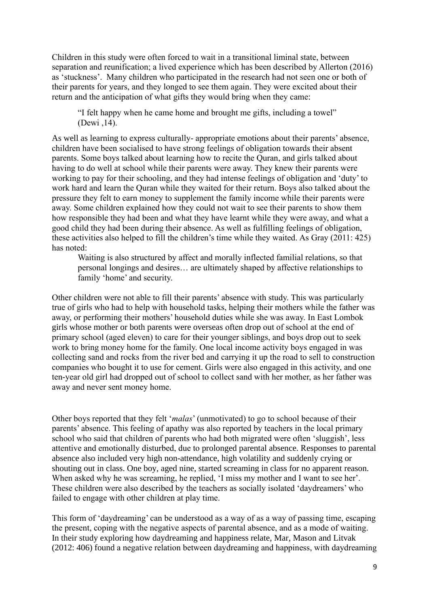Children in this study were often forced to wait in a transitional liminal state, between separation and reunification; a lived experience which has been described by Allerton (2016) as 'stuckness'. Many children who participated in the research had not seen one or both of their parents for years, and they longed to see them again. They were excited about their return and the anticipation of what gifts they would bring when they came:

"I felt happy when he came home and brought me gifts, including a towel" (Dewi ,14).

As well as learning to express culturally- appropriate emotions about their parents' absence, children have been socialised to have strong feelings of obligation towards their absent parents. Some boys talked about learning how to recite the Quran, and girls talked about having to do well at school while their parents were away. They knew their parents were working to pay for their schooling, and they had intense feelings of obligation and 'duty' to work hard and learn the Quran while they waited for their return. Boys also talked about the pressure they felt to earn money to supplement the family income while their parents were away. Some children explained how they could not wait to see their parents to show them how responsible they had been and what they have learnt while they were away, and what a good child they had been during their absence. As well as fulfilling feelings of obligation, these activities also helped to fill the children's time while they waited. As Gray (2011: 425) has noted:

Waiting is also structured by affect and morally inflected familial relations, so that personal longings and desires… are ultimately shaped by affective relationships to family 'home' and security.

Other children were not able to fill their parents' absence with study. This was particularly true of girls who had to help with household tasks, helping their mothers while the father was away, or performing their mothers' household duties while she was away. In East Lombok girls whose mother or both parents were overseas often drop out of school at the end of primary school (aged eleven) to care for their younger siblings, and boys drop out to seek work to bring money home for the family. One local income activity boys engaged in was collecting sand and rocks from the river bed and carrying it up the road to sell to construction companies who bought it to use for cement. Girls were also engaged in this activity, and one ten-year old girl had dropped out of school to collect sand with her mother, as her father was away and never sent money home.

Other boys reported that they felt '*malas*' (unmotivated) to go to school because of their parents' absence. This feeling of apathy was also reported by teachers in the local primary school who said that children of parents who had both migrated were often 'sluggish', less attentive and emotionally disturbed, due to prolonged parental absence. Responses to parental absence also included very high non-attendance, high volatility and suddenly crying or shouting out in class. One boy, aged nine, started screaming in class for no apparent reason. When asked why he was screaming, he replied, 'I miss my mother and I want to see her'. These children were also described by the teachers as socially isolated 'daydreamers' who failed to engage with other children at play time.

This form of 'daydreaming' can be understood as a way of as a way of passing time, escaping the present, coping with the negative aspects of parental absence, and as a mode of waiting. In their study exploring how daydreaming and happiness relate, Mar, Mason and Litvak (2012: 406) found a negative relation between daydreaming and happiness, with daydreaming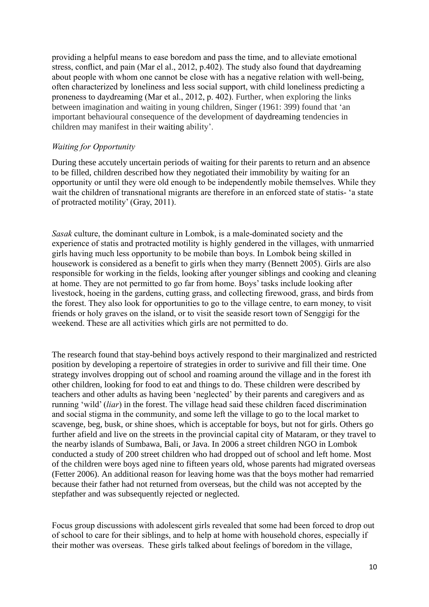providing a helpful means to ease boredom and pass the time, and to alleviate emotional stress, conflict, and pain (Mar el al., 2012, p.402). The study also found that daydreaming about people with whom one cannot be close with has a negative relation with well-being, often characterized by loneliness and less social support, with child loneliness predicting a proneness to daydreaming (Mar et al., 2012, p. 402). Further, when exploring the links between imagination and waiting in young children, Singer (1961: 399) found that 'an important behavioural consequence of the development of daydreaming tendencies in children may manifest in their waiting ability'.

# *Waiting for Opportunity*

During these accutely uncertain periods of waiting for their parents to return and an absence to be filled, children described how they negotiated their immobility by waiting for an opportunity or until they were old enough to be independently mobile themselves. While they wait the children of transnational migrants are therefore in an enforced state of statis- 'a state of protracted motility' (Gray, 2011).

*Sasak* culture, the dominant culture in Lombok, is a male-dominated society and the experience of statis and protracted motility is highly gendered in the villages, with unmarried girls having much less opportunity to be mobile than boys. In Lombok being skilled in housework is considered as a benefit to girls when they marry (Bennett 2005). Girls are also responsible for working in the fields, looking after younger siblings and cooking and cleaning at home. They are not permitted to go far from home. Boys' tasks include looking after livestock, hoeing in the gardens, cutting grass, and collecting firewood, grass, and birds from the forest. They also look for opportunities to go to the village centre, to earn money, to visit friends or holy graves on the island, or to visit the seaside resort town of Senggigi for the weekend. These are all activities which girls are not permitted to do.

The research found that stay-behind boys actively respond to their marginalized and restricted position by developing a repertoire of strategies in order to surivive and fill their time. One strategy involves dropping out of school and roaming around the village and in the forest ith other children, looking for food to eat and things to do. These children were described by teachers and other adults as having been 'neglected' by their parents and caregivers and as running 'wild' (*liar*) in the forest. The village head said these children faced discrimination and social stigma in the community, and some left the village to go to the local market to scavenge, beg, busk, or shine shoes, which is acceptable for boys, but not for girls. Others go further afield and live on the streets in the provincial capital city of Mataram, or they travel to the nearby islands of Sumbawa, Bali, or Java. In 2006 a street children NGO in Lombok conducted a study of 200 street children who had dropped out of school and left home. Most of the children were boys aged nine to fifteen years old, whose parents had migrated overseas (Fetter 2006). An additional reason for leaving home was that the boys mother had remarried because their father had not returned from overseas, but the child was not accepted by the stepfather and was subsequently rejected or neglected.

Focus group discussions with adolescent girls revealed that some had been forced to drop out of school to care for their siblings, and to help at home with household chores, especially if their mother was overseas. These girls talked about feelings of boredom in the village,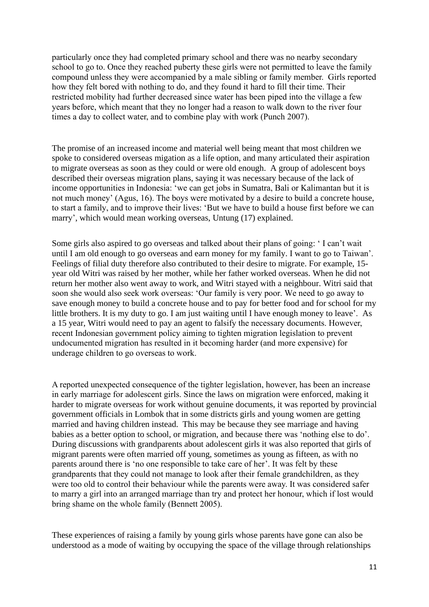particularly once they had completed primary school and there was no nearby secondary school to go to. Once they reached puberty these girls were not permitted to leave the family compound unless they were accompanied by a male sibling or family member. Girls reported how they felt bored with nothing to do, and they found it hard to fill their time. Their restricted mobility had further decreased since water has been piped into the village a few years before, which meant that they no longer had a reason to walk down to the river four times a day to collect water, and to combine play with work (Punch 2007).

The promise of an increased income and material well being meant that most children we spoke to considered overseas migation as a life option, and many articulated their aspiration to migrate overseas as soon as they could or were old enough. A group of adolescent boys described their overseas migration plans, saying it was necessary because of the lack of income opportunities in Indonesia: 'we can get jobs in Sumatra, Bali or Kalimantan but it is not much money' (Agus, 16). The boys were motivated by a desire to build a concrete house, to start a family, and to improve their lives: 'But we have to build a house first before we can marry', which would mean working overseas, Untung (17) explained.

Some girls also aspired to go overseas and talked about their plans of going: ' I can't wait until I am old enough to go overseas and earn money for my family. I want to go to Taiwan'. Feelings of filial duty therefore also contributed to their desire to migrate. For example, 15 year old Witri was raised by her mother, while her father worked overseas. When he did not return her mother also went away to work, and Witri stayed with a neighbour. Witri said that soon she would also seek work overseas: 'Our family is very poor. We need to go away to save enough money to build a concrete house and to pay for better food and for school for my little brothers. It is my duty to go. I am just waiting until I have enough money to leave'. As a 15 year, Witri would need to pay an agent to falsify the necessary documents. However, recent Indonesian government policy aiming to tighten migration legislation to prevent undocumented migration has resulted in it becoming harder (and more expensive) for underage children to go overseas to work.

A reported unexpected consequence of the tighter legislation, however, has been an increase in early marriage for adolescent girls. Since the laws on migration were enforced, making it harder to migrate overseas for work without genuine documents, it was reported by provincial government officials in Lombok that in some districts girls and young women are getting married and having children instead. This may be because they see marriage and having babies as a better option to school, or migration, and because there was 'nothing else to do'. During discussions with grandparents about adolescent girls it was also reported that girls of migrant parents were often married off young, sometimes as young as fifteen, as with no parents around there is 'no one responsible to take care of her'. It was felt by these grandparents that they could not manage to look after their female grandchildren, as they were too old to control their behaviour while the parents were away. It was considered safer to marry a girl into an arranged marriage than try and protect her honour, which if lost would bring shame on the whole family (Bennett 2005).

These experiences of raising a family by young girls whose parents have gone can also be understood as a mode of waiting by occupying the space of the village through relationships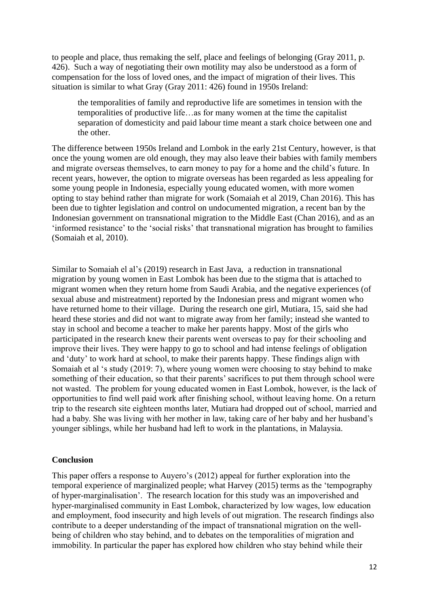to people and place, thus remaking the self, place and feelings of belonging (Gray 2011, p. 426). Such a way of negotiating their own motility may also be understood as a form of compensation for the loss of loved ones, and the impact of migration of their lives. This situation is similar to what Gray (Gray 2011: 426) found in 1950s Ireland:

the temporalities of family and reproductive life are sometimes in tension with the temporalities of productive life…as for many women at the time the capitalist separation of domesticity and paid labour time meant a stark choice between one and the other.

The difference between 1950s Ireland and Lombok in the early 21st Century, however, is that once the young women are old enough, they may also leave their babies with family members and migrate overseas themselves, to earn money to pay for a home and the child's future. In recent years, however, the option to migrate overseas has been regarded as less appealing for some young people in Indonesia, especially young educated women, with more women opting to stay behind rather than migrate for work (Somaiah et al 2019, Chan 2016). This has been due to tighter legislation and control on undocumented migration, a recent ban by the Indonesian government on transnational migration to the Middle East (Chan 2016), and as an 'informed resistance' to the 'social risks' that transnational migration has brought to families (Somaiah et al, 2010).

Similar to Somaiah el al's (2019) research in East Java, a reduction in transnational migration by young women in East Lombok has been due to the stigma that is attached to migrant women when they return home from Saudi Arabia, and the negative experiences (of sexual abuse and mistreatment) reported by the Indonesian press and migrant women who have returned home to their village. During the research one girl, Mutiara, 15, said she had heard these stories and did not want to migrate away from her family; instead she wanted to stay in school and become a teacher to make her parents happy. Most of the girls who participated in the research knew their parents went overseas to pay for their schooling and improve their lives. They were happy to go to school and had intense feelings of obligation and 'duty' to work hard at school, to make their parents happy. These findings align with Somaiah et al 's study (2019: 7), where young women were choosing to stay behind to make something of their education, so that their parents' sacrifices to put them through school were not wasted. The problem for young educated women in East Lombok, however, is the lack of opportunities to find well paid work after finishing school, without leaving home. On a return trip to the research site eighteen months later, Mutiara had dropped out of school, married and had a baby. She was living with her mother in law, taking care of her baby and her husband's younger siblings, while her husband had left to work in the plantations, in Malaysia.

#### **Conclusion**

This paper offers a response to Auyero's (2012) appeal for further exploration into the temporal experience of marginalized people; what Harvey (2015) terms as the 'tempography of hyper-marginalisation'. The research location for this study was an impoverished and hyper-marginalised community in East Lombok, characterized by low wages, low education and employment, food insecurity and high levels of out migration. The research findings also contribute to a deeper understanding of the impact of transnational migration on the wellbeing of children who stay behind, and to debates on the temporalities of migration and immobility. In particular the paper has explored how children who stay behind while their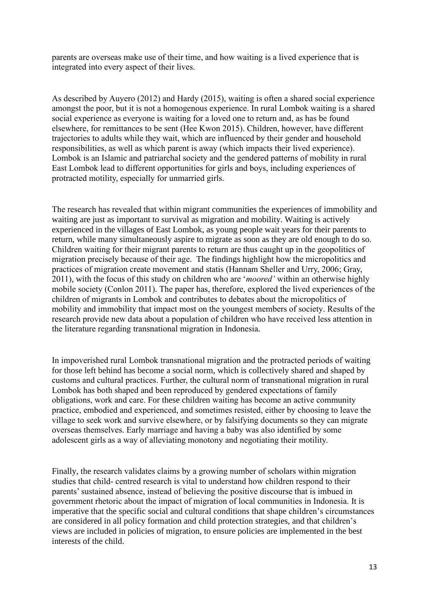parents are overseas make use of their time, and how waiting is a lived experience that is integrated into every aspect of their lives.

As described by Auyero (2012) and Hardy (2015), waiting is often a shared social experience amongst the poor, but it is not a homogenous experience. In rural Lombok waiting is a shared social experience as everyone is waiting for a loved one to return and, as has be found elsewhere, for remittances to be sent (Hee Kwon 2015). Children, however, have different trajectories to adults while they wait, which are influenced by their gender and household responsibilities, as well as which parent is away (which impacts their lived experience). Lombok is an Islamic and patriarchal society and the gendered patterns of mobility in rural East Lombok lead to different opportunities for girls and boys, including experiences of protracted motility, especially for unmarried girls.

The research has revealed that within migrant communities the experiences of immobility and waiting are just as important to survival as migration and mobility. Waiting is actively experienced in the villages of East Lombok, as young people wait years for their parents to return, while many simultaneously aspire to migrate as soon as they are old enough to do so. Children waiting for their migrant parents to return are thus caught up in the geopolitics of migration precisely because of their age. The findings highlight how the micropolitics and practices of migration create movement and statis (Hannam Sheller and Urry, 2006; Gray, 2011), with the focus of this study on children who are '*moored'* within an otherwise highly mobile society (Conlon 2011). The paper has, therefore, explored the lived experiences of the children of migrants in Lombok and contributes to debates about the micropolitics of mobility and immobility that impact most on the youngest members of society. Results of the research provide new data about a population of children who have received less attention in the literature regarding transnational migration in Indonesia.

In impoverished rural Lombok transnational migration and the protracted periods of waiting for those left behind has become a social norm, which is collectively shared and shaped by customs and cultural practices. Further, the cultural norm of transnational migration in rural Lombok has both shaped and been reproduced by gendered expectations of family obligations, work and care. For these children waiting has become an active community practice, embodied and experienced, and sometimes resisted, either by choosing to leave the village to seek work and survive elsewhere, or by falsifying documents so they can migrate overseas themselves. Early marriage and having a baby was also identified by some adolescent girls as a way of alleviating monotony and negotiating their motility.

Finally, the research validates claims by a growing number of scholars within migration studies that child- centred research is vital to understand how children respond to their parents' sustained absence, instead of believing the positive discourse that is imbued in government rhetoric about the impact of migration of local communities in Indonesia. It is imperative that the specific social and cultural conditions that shape children's circumstances are considered in all policy formation and child protection strategies, and that children's views are included in policies of migration, to ensure policies are implemented in the best interests of the child.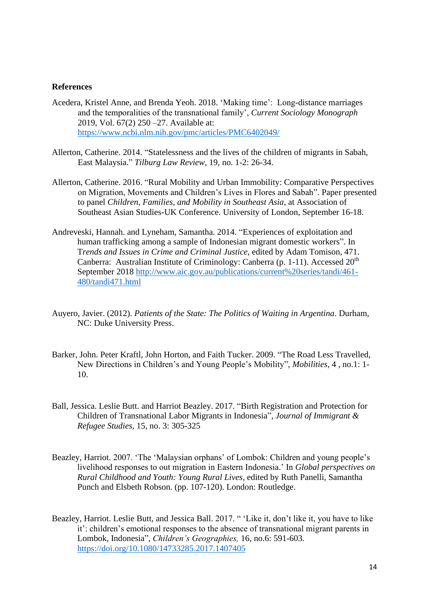#### **References**

- Acedera, Kristel Anne, and Brenda Yeoh. 2018. 'Making time': Long-distance marriages and the temporalities of the transnational family', *Current Sociology Monograph* 2019, Vol. 67(2) 250 –27. Available at: [https://www.ncbi.nlm.nih.gov/pmc/articles/PMC6402049/](https://protect-au.mimecast.com/s/dbrhC6X1rOCPO5Y5Fp2YYU?domain=ncbi.nlm.nih.gov)
- Allerton, Catherine. 2014. "Statelessness and the lives of the children of migrants in Sabah, East Malaysia." *Tilburg Law Review*, 19, no. 1-2: 26-34.
- Allerton, Catherine. 2016. "Rural Mobility and Urban Immobility: Comparative Perspectives on Migration, Movements and Children's Lives in Flores and Sabah". Paper presented to panel *Children, Families, and Mobility in Southeast Asia,* at Association of Southeast Asian Studies-UK Conference. University of London, September 16-18.
- Andreveski, Hannah. and Lyneham, Samantha. 2014. "Experiences of exploitation and human trafficking among a sample of Indonesian migrant domestic workers". In T*rends and Issues in Crime and Criminal Justice*, edited by Adam Tomison, 471. Canberra: Australian Institute of Criminology: Canberra (p. 1-11). Accessed 20<sup>th</sup> September 2018 [http://www.aic.gov.au/publications/current%20series/tandi/461-](http://www.aic.gov.au/publications/current%20series/tandi/461-480/tandi471.html) [480/tandi471.html](http://www.aic.gov.au/publications/current%20series/tandi/461-480/tandi471.html)
- Auyero, Javier. (2012). *Patients of the State: The Politics of Waiting in Argentina*. Durham, NC: Duke University Press.
- Barker, John. Peter Kraftl, John Horton, and Faith Tucker. 2009. "The Road Less Travelled, New Directions in Children's and Young People's Mobility", *Mobilities*, 4 , no.1: 1- 10.
- Ball, Jessica. Leslie Butt. and Harriot Beazley. 2017. "Birth Registration and Protection for Children of Transnational Labor Migrants in Indonesia", *Journal of Immigrant & Refugee Studies,* 15, no. 3: 305-325
- Beazley, Harriot. 2007. 'The 'Malaysian orphans' of Lombok: Children and young people's livelihood responses to out migration in Eastern Indonesia.' In *Global perspectives on Rural Childhood and Youth: Young Rural Lives*, edited by Ruth Panelli, Samantha Punch and Elsbeth Robson. (pp. 107-120). London: Routledge.
- Beazley, Harriot. Leslie Butt, and Jessica Ball. 2017. " 'Like it, don't like it, you have to like it': children's emotional responses to the absence of transnational migrant parents in Lombok, Indonesia", *Children's Geographies,* 16, no.6: 591-603. <https://doi.org/10.1080/14733285.2017.1407405>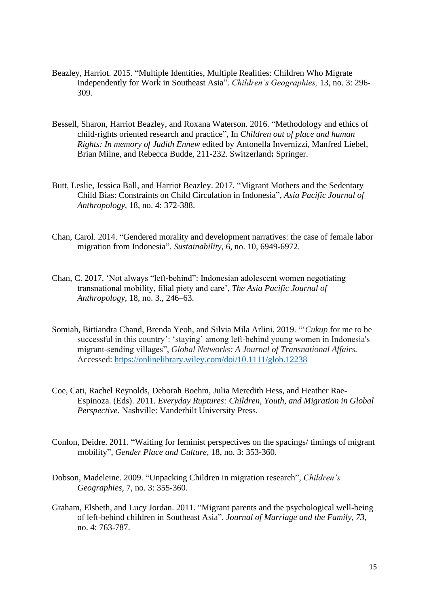- Beazley, Harriot. 2015. "Multiple Identities, Multiple Realities: Children Who Migrate Independently for Work in Southeast Asia". *Children's Geographies,* 13, no. 3: 296- 309.
- Bessell, Sharon, Harriot Beazley, and Roxana Waterson. 2016. "Methodology and ethics of child-rights oriented research and practice", In *Children out of place and human Rights: In memory of Judith Ennew* edited by Antonella Invernizzi, Manfred Liebel, Brian Milne, and Rebecca Budde, 211-232. Switzerland**:** Springer.
- Butt, Leslie, Jessica Ball, and Harriot Beazley. 2017. "Migrant Mothers and the Sedentary Child Bias: Constraints on Child Circulation in Indonesia", *Asia Pacific Journal of Anthropology,* 18, no. 4: 372-388.
- Chan, Carol. 2014. "Gendered morality and development narratives: the case of female labor migration from Indonesia". *Sustainability*, 6, no. 10, 6949-6972.
- Chan, C. 2017. 'Not always "left-behind": Indonesian adolescent women negotiating transnational mobility, filial piety and care', *The Asia Pacific Journal of Anthropology*, 18, no. 3., 246–63.
- Somiah, Bittiandra Chand, Brenda Yeoh, and Silvia Mila Arlini. 2019. "'*Cukup* for me to be successful in this country': 'staying' among left-behind young women in Indonesia's migrant‐sending villages", *Global Networks: A Journal of Transnational Affairs.*  Accessed:<https://onlinelibrary.wiley.com/doi/10.1111/glob.12238>
- Coe, Cati, Rachel Reynolds, Deborah Boehm, Julia Meredith Hess, and Heather Rae-Espinoza. (Eds). 2011. *Everyday Ruptures: Children, Youth, and Migration in Global Perspective*. Nashville: Vanderbilt University Press.
- Conlon, Deidre. 2011. "Waiting for feminist perspectives on the spacings/ timings of migrant mobility", *Gender Place and Culture,* 18, no. 3: 353-360.
- Dobson, Madeleine. 2009. "Unpacking Children in migration research", *Children's Geographies,* 7, no. 3: 355-360.
- Graham, Elsbeth, and Lucy Jordan. 2011. "Migrant parents and the psychological well-being of left-behind children in Southeast Asia". *Journal of Marriage and the Family, 73*, no. 4: 763-787.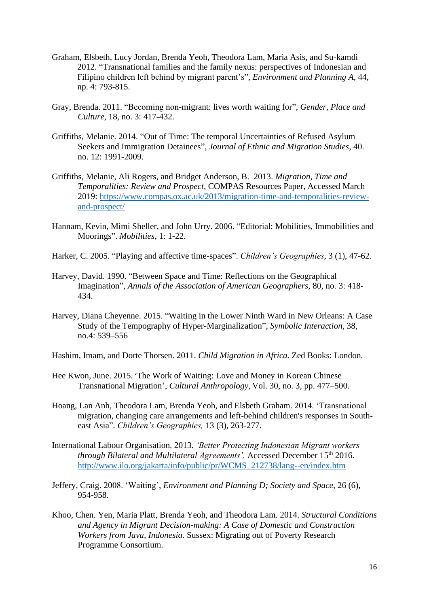- Graham, Elsbeth, Lucy Jordan, Brenda Yeoh, Theodora Lam, Maria Asis, and Su-kamdi 2012. "Transnational families and the family nexus: perspectives of Indonesian and Filipino children left behind by migrant parent's", *Environment and Planning A,* 44, np. 4: 793-815.
- Gray, Brenda. 2011. "Becoming non-migrant: lives worth waiting for", *Gender, Place and Culture*, 18, no. 3: 417-432.
- Griffiths, Melanie. 2014. "Out of Time: The temporal Uncertainties of Refused Asylum Seekers and Immigration Detainees", *Journal of Ethnic and Migration Studies*, 40. no. 12: 1991-2009.
- Griffiths, Melanie, Ali Rogers, and Bridget Anderson, B. 2013. *Migration, Time and Temporalities: Review and Prospect,* COMPAS Resources Paper, Accessed March 2019: [https://www.compas.ox.ac.uk/2013/migration-time-and-temporalities-review](https://www.compas.ox.ac.uk/2013/migration-time-and-temporalities-review-and-prospect/)[and-prospect/](https://www.compas.ox.ac.uk/2013/migration-time-and-temporalities-review-and-prospect/)
- Hannam, Kevin, Mimi Sheller, and John Urry. 2006. "Editorial: Mobilities, Immobilities and Moorings". *Mobilities*, 1: 1-22.
- Harker, C. 2005. "Playing and affective time-spaces". *Children's Geographies*, 3 (1), 47-62.
- Harvey, David. 1990. "Between Space and Time: Reflections on the Geographical Imagination", *Annals of the Association of American Geographers,* 80, no. 3: 418- 434.
- Harvey, Diana Cheyenne. 2015. "Waiting in the Lower Ninth Ward in New Orleans: A Case Study of the Tempography of Hyper-Marginalization", *Symbolic Interaction*, 38, no.4: 539–556
- Hashim, Imam, and Dorte Thorsen. 2011. *Child Migration in Africa.* Zed Books: London*.*
- Hee Kwon, June. 2015. 'The Work of Waiting: Love and Money in Korean Chinese Transnational Migration', *Cultural Anthropology,* Vol. 30, no. 3, pp. 477–500.
- Hoang, Lan Anh, Theodora Lam, Brenda Yeoh, and Elsbeth Graham. 2014. 'Transnational migration, changing care arrangements and left-behind children's responses in Southeast Asia". *Children's Geographies,* 13 (3), 263-277.
- International Labour Organisation. 2013. *'Better Protecting Indonesian Migrant workers through Bilateral and Multilateral Agreements'.* Accessed December 15<sup>th</sup> 2016. [http://www.ilo.org/jakarta/info/public/pr/WCMS\\_212738/lang--en/index.htm](http://www.ilo.org/jakarta/info/public/pr/WCMS_212738/lang--en/index.htm)
- Jeffery, Craig. 2008. 'Waiting', *Environment and Planning D; Society and Space,* 26 (6), 954-958.
- Khoo, Chen. Yen, Maria Platt, Brenda Yeoh, and Theodora Lam. 2014. *Structural Conditions and Agency in Migrant Decision-making: A Case of Domestic and Construction Workers from Java, Indonesia.* Sussex: Migrating out of Poverty Research Programme Consortium.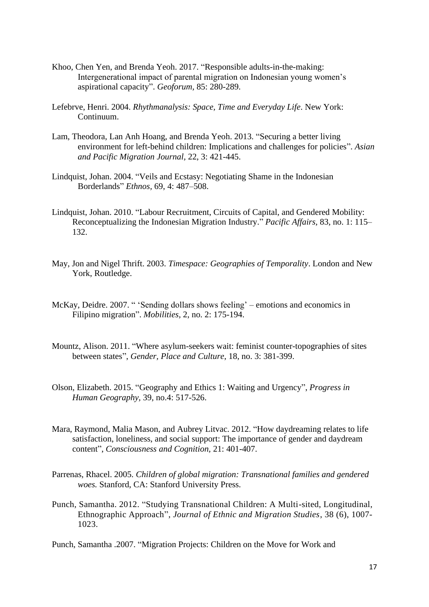- Khoo, Chen Yen, and Brenda Yeoh. 2017. "Responsible adults-in-the-making: Intergenerational impact of parental migration on Indonesian young women's aspirational capacity". *Geoforum,* 85: 280-289.
- Lefebrve, Henri. 2004. *Rhythmanalysis: Space, Time and Everyday Life*. New York: Continuum.
- Lam, Theodora, Lan Anh Hoang, and Brenda Yeoh. 2013. "Securing a better living environment for left-behind children: Implications and challenges for policies". *Asian and Pacific Migration Journal,* 22, 3: 421-445.
- Lindquist, Johan. 2004. "Veils and Ecstasy: Negotiating Shame in the Indonesian Borderlands" *Ethnos,* 69, 4: 487–508.
- Lindquist, Johan. 2010. "Labour Recruitment, Circuits of Capital, and Gendered Mobility: Reconceptualizing the Indonesian Migration Industry." *Pacific Affairs,* 83, no. 1: 115– 132.
- May, Jon and Nigel Thrift. 2003. *Timespace: Geographies of Temporality*. London and New York, Routledge.
- McKay, Deidre. 2007. " 'Sending dollars shows feeling' emotions and economics in Filipino migration". *Mobilities,* 2, no. 2: 175-194.
- Mountz, Alison. 2011. "Where asylum-seekers wait: feminist counter-topographies of sites between states", *Gender, Place and Culture*, 18, no. 3: 381-399.
- Olson, Elizabeth. 2015. "Geography and Ethics 1: Waiting and Urgency", *Progress in Human Geography,* 39, no.4: 517-526.
- Mara, Raymond, Malia Mason, and Aubrey Litvac. 2012. "How daydreaming relates to life satisfaction, loneliness, and social support: The importance of gender and daydream content", *Consciousness and Cognition,* 21: 401-407.
- Parrenas, Rhacel. 2005. *Children of global migration: Transnational families and gendered woes.* Stanford, CA: Stanford University Press.
- Punch, Samantha. 2012. ["Studying Transnational Children: A Multi-sited, Longitudinal,](https://rms.stir.ac.uk/converis-stirling/publication/6751)  Ethnographic Approach", *[Journal of Ethnic and Migration Studies](https://rms.stir.ac.uk/converis-stirling/publication/6751)*, 38 (6), 1007- [1023.](https://rms.stir.ac.uk/converis-stirling/publication/6751)
- Punch, Samantha .2007. "Migration Projects: Children on the Move for Work and